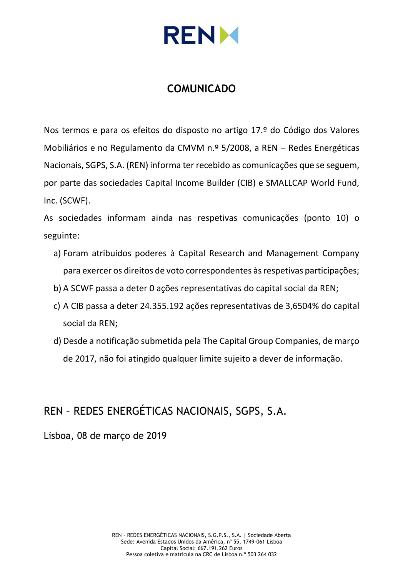

## **COMUNICADO**

Nos termos e para os efeitos do disposto no artigo 17.º do Código dos Valores Mobiliários e no Regulamento da CMVM n.º 5/2008, a REN – Redes Energéticas Nacionais, SGPS, S.A. (REN) informa ter recebido as comunicações que se seguem, por parte das sociedades Capital Income Builder (CIB) e SMALLCAP World Fund, Inc. (SCWF).

As sociedades informam ainda nas respetivas comunicações (ponto 10) o seguinte:

- a) Foram atribuídos poderes à Capital Research and Management Company para exercer os direitos de voto correspondentes às respetivas participações;
- b) A SCWF passa a deter 0 ações representativas do capital social da REN;
- c) A CIB passa a deter 24.355.192 ações representativas de 3,6504% do capital social da REN;
- d) Desde a notificação submetida pela The Capital Group Companies, de março de 2017, não foi atingido qualquer limite sujeito a dever de informação.

# REN – REDES ENERGÉTICAS NACIONAIS, SGPS, S.A.

Lisboa, 08 de março de 2019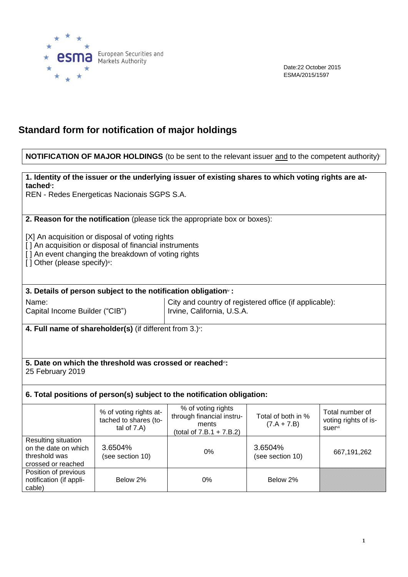

Date:22 October 2015 ESMA/2015/1597

## **Standard form for notification of major holdings**

### **NOTIFICATION OF MAJOR HOLDINGS** (to be sent to the relevant issuer and to the competent authority)<sup>i</sup>

**1. Identity of the issuer or the underlying issuer of existing shares to which voting rights are attached**ii**:**

REN - Redes Energeticas Nacionais SGPS S.A.

**2. Reason for the notification** (please tick the appropriate box or boxes):

[X] An acquisition or disposal of voting rights

[] An acquisition or disposal of financial instruments

[] An event changing the breakdown of voting rights

[] Other (please specify)":

**3. Details of person subject to the notification obligation**iv **:**

Name:

Capital Income Builder ("CIB")

City and country of registered office (if applicable): Irvine, California, U.S.A.

**4. Full name of shareholder(s)** (if different from 3.)<sup>v</sup> :

**5. Date on which the threshold was crossed or reached**vi**:** 25 February 2019

### **6. Total positions of person(s) subject to the notification obligation:**

|                                                                                    | % of voting rights at-<br>tached to shares (to-<br>tal of $7.A$ ) | % of voting rights<br>through financial instru-<br>ments<br>(total of $7.B.1 + 7.B.2$ ) | Total of both in %<br>$(7.A + 7.B)$ | Total number of<br>voting rights of is-<br><b>suer</b> <sup>vii</sup> |
|------------------------------------------------------------------------------------|-------------------------------------------------------------------|-----------------------------------------------------------------------------------------|-------------------------------------|-----------------------------------------------------------------------|
| Resulting situation<br>on the date on which<br>threshold was<br>crossed or reached | 3.6504%<br>(see section 10)                                       | $0\%$                                                                                   | 3.6504%<br>(see section 10)         | 667,191,262                                                           |
| Position of previous<br>notification (if appli-<br>cable)                          | Below 2%                                                          | 0%                                                                                      | Below 2%                            |                                                                       |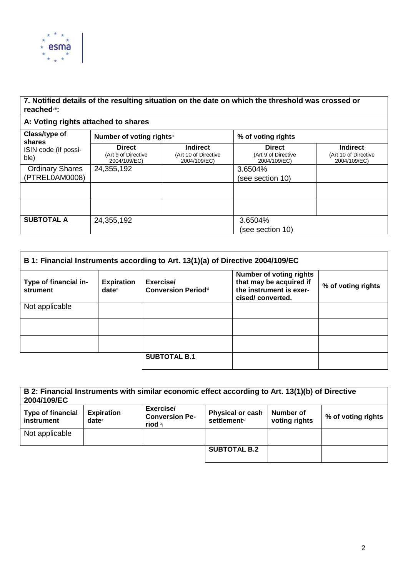

## **7. Notified details of the resulting situation on the date on which the threshold was crossed or reached**viii**:**

## **A: Voting rights attached to shares**

| Class/type of<br>shares<br>ISIN code (if possi-<br>ble) | Number of voting rightsix                            |                                                         | % of voting rights                                   |                                                         |
|---------------------------------------------------------|------------------------------------------------------|---------------------------------------------------------|------------------------------------------------------|---------------------------------------------------------|
|                                                         | <b>Direct</b><br>(Art 9 of Directive<br>2004/109/EC) | <b>Indirect</b><br>(Art 10 of Directive<br>2004/109/EC) | <b>Direct</b><br>(Art 9 of Directive<br>2004/109/EC) | <b>Indirect</b><br>(Art 10 of Directive<br>2004/109/EC) |
| <b>Ordinary Shares</b>                                  | 24,355,192                                           |                                                         | 3.6504%                                              |                                                         |
| (PTREL0AM0008)                                          |                                                      |                                                         | (see section 10)                                     |                                                         |
|                                                         |                                                      |                                                         |                                                      |                                                         |
|                                                         |                                                      |                                                         |                                                      |                                                         |
| <b>SUBTOTAL A</b>                                       | 24,355,192                                           |                                                         | 3.6504%                                              |                                                         |
|                                                         |                                                      |                                                         | (see section 10)                                     |                                                         |

| B 1: Financial Instruments according to Art. 13(1)(a) of Directive 2004/109/EC |                                      |                                         |                                                                                                          |                    |  |  |
|--------------------------------------------------------------------------------|--------------------------------------|-----------------------------------------|----------------------------------------------------------------------------------------------------------|--------------------|--|--|
| Type of financial in-<br>strument                                              | <b>Expiration</b><br>$date^{\times}$ | Exercise/<br><b>Conversion Periodxi</b> | <b>Number of voting rights</b><br>that may be acquired if<br>the instrument is exer-<br>cised/converted. | % of voting rights |  |  |
| Not applicable                                                                 |                                      |                                         |                                                                                                          |                    |  |  |
|                                                                                |                                      |                                         |                                                                                                          |                    |  |  |
|                                                                                |                                      |                                         |                                                                                                          |                    |  |  |
|                                                                                |                                      | <b>SUBTOTAL B.1</b>                     |                                                                                                          |                    |  |  |

| B 2: Financial Instruments with similar economic effect according to Art. 13(1)(b) of Directive<br>2004/109/EC                                                                                                                   |  |  |                     |  |  |  |
|----------------------------------------------------------------------------------------------------------------------------------------------------------------------------------------------------------------------------------|--|--|---------------------|--|--|--|
| Exercise/<br><b>Type of financial</b><br><b>Expiration</b><br><b>Physical or cash</b><br>Number of<br><b>Conversion Pe-</b><br>% of voting rights<br><b>settlement</b> xii<br>voting rights<br>instrument<br>$date^x$<br>riod ×i |  |  |                     |  |  |  |
| Not applicable                                                                                                                                                                                                                   |  |  |                     |  |  |  |
|                                                                                                                                                                                                                                  |  |  | <b>SUBTOTAL B.2</b> |  |  |  |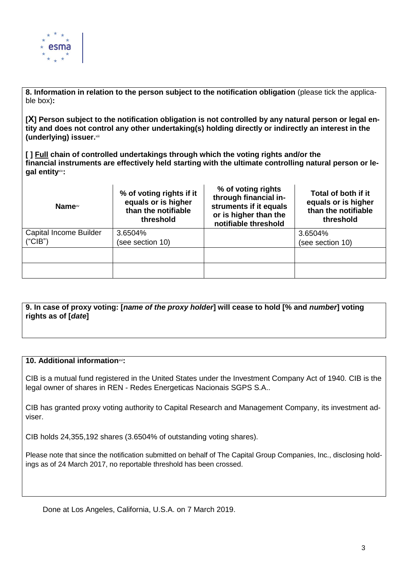

**8. Information in relation to the person subject to the notification obligation** (please tick the applicable box)**:**

**[X] Person subject to the notification obligation is not controlled by any natural person or legal entity and does not control any other undertaking(s) holding directly or indirectly an interest in the (underlying) issuer.** xiii

**[ ] Full chain of controlled undertakings through which the voting rights and/or the financial instruments are effectively held starting with the ultimate controlling natural person or legal entity**xiv**:**

| Name <sup>xv</sup>            | % of voting rights if it<br>equals or is higher<br>than the notifiable<br>threshold | % of voting rights<br>through financial in-<br>struments if it equals<br>or is higher than the<br>notifiable threshold | Total of both if it<br>equals or is higher<br>than the notifiable<br>threshold |
|-------------------------------|-------------------------------------------------------------------------------------|------------------------------------------------------------------------------------------------------------------------|--------------------------------------------------------------------------------|
| <b>Capital Income Builder</b> | 3.6504%                                                                             |                                                                                                                        | 3.6504%                                                                        |
| ("CIB")                       | (see section 10)                                                                    |                                                                                                                        | (see section 10)                                                               |
|                               |                                                                                     |                                                                                                                        |                                                                                |
|                               |                                                                                     |                                                                                                                        |                                                                                |

**9. In case of proxy voting: [***name of the proxy holder***] will cease to hold [% and** *number***] voting rights as of [***date***]**

#### **10. Additional information**xvi**:**

CIB is a mutual fund registered in the United States under the Investment Company Act of 1940. CIB is the legal owner of shares in REN - Redes Energeticas Nacionais SGPS S.A..

CIB has granted proxy voting authority to Capital Research and Management Company, its investment adviser.

CIB holds 24,355,192 shares (3.6504% of outstanding voting shares).

Please note that since the notification submitted on behalf of The Capital Group Companies, Inc., disclosing holdings as of 24 March 2017, no reportable threshold has been crossed.

Done at Los Angeles, California, U.S.A. on 7 March 2019.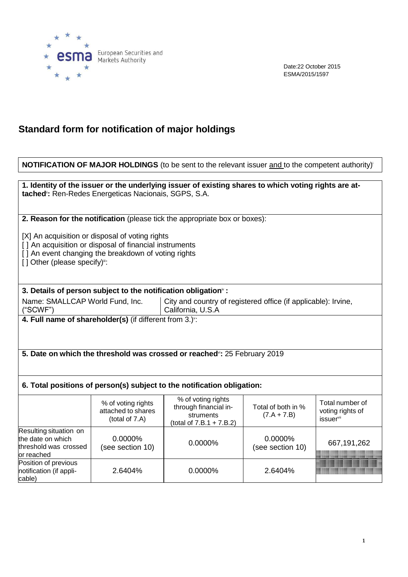

Г

Date:22 October 2015 ESMA/2015/1597

# **Standard form for notification of major holdings**

| <b>NOTIFICATION OF MAJOR HOLDINGS</b> (to be sent to the relevant issuer and to the competent authority) <sup>®</sup>                                                                           |                                                                      |                                                                                                      |                                     |                                                              |  |  |  |  |
|-------------------------------------------------------------------------------------------------------------------------------------------------------------------------------------------------|----------------------------------------------------------------------|------------------------------------------------------------------------------------------------------|-------------------------------------|--------------------------------------------------------------|--|--|--|--|
|                                                                                                                                                                                                 |                                                                      |                                                                                                      |                                     |                                                              |  |  |  |  |
| tached <sup>®</sup> : Ren-Redes Energeticas Nacionais, SGPS, S.A.                                                                                                                               |                                                                      | 1. Identity of the issuer or the underlying issuer of existing shares to which voting rights are at- |                                     |                                                              |  |  |  |  |
|                                                                                                                                                                                                 |                                                                      | 2. Reason for the notification (please tick the appropriate box or boxes):                           |                                     |                                                              |  |  |  |  |
| [X] An acquisition or disposal of voting rights<br>[] An acquisition or disposal of financial instruments<br>[] An event changing the breakdown of voting rights<br>[] Other (please specify)": |                                                                      |                                                                                                      |                                     |                                                              |  |  |  |  |
| 3. Details of person subject to the notification obligation <sup>®</sup> :                                                                                                                      |                                                                      |                                                                                                      |                                     |                                                              |  |  |  |  |
| Name: SMALLCAP World Fund, Inc.<br>("SCWF")                                                                                                                                                     |                                                                      | City and country of registered office (if applicable): Irvine,<br>California, U.S.A                  |                                     |                                                              |  |  |  |  |
|                                                                                                                                                                                                 | 4. Full name of shareholder(s) (if different from 3.) <sup>v</sup> : |                                                                                                      |                                     |                                                              |  |  |  |  |
|                                                                                                                                                                                                 |                                                                      | 5. Date on which the threshold was crossed or reached <sup>®</sup> : 25 February 2019                |                                     |                                                              |  |  |  |  |
|                                                                                                                                                                                                 |                                                                      | 6. Total positions of person(s) subject to the notification obligation:                              |                                     |                                                              |  |  |  |  |
|                                                                                                                                                                                                 | % of voting rights<br>attached to shares<br>(total of 7.A)           | % of voting rights<br>through financial in-<br>struments<br>(total of $7.B.1 + 7.B.2$ )              | Total of both in %<br>$(7.A + 7.B)$ | Total number of<br>voting rights of<br>issuer <sup>vii</sup> |  |  |  |  |
| Resulting situation on<br>0.0000%<br>0.0000%<br>the date on which<br>0.0000%<br>667,191,262<br>(see section 10)<br>(see section 10)<br>threshold was crossed<br>or reached                      |                                                                      |                                                                                                      |                                     |                                                              |  |  |  |  |
| Position of previous<br>notification (if appli-<br>cable)                                                                                                                                       | 2.6404%                                                              | 0.0000%<br>2.6404%                                                                                   |                                     |                                                              |  |  |  |  |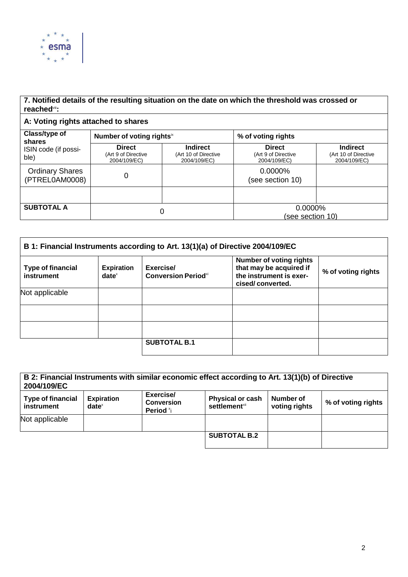

## **7. Notified details of the resulting situation on the date on which the threshold was crossed or reached**viii**:**

## **A: Voting rights attached to shares**

| Class/type of<br>shares<br>ISIN code (if possi-<br>ble) | Number of voting rights <sup>ix</sup>                |                                                         | % of voting rights                                   |                                                         |
|---------------------------------------------------------|------------------------------------------------------|---------------------------------------------------------|------------------------------------------------------|---------------------------------------------------------|
|                                                         | <b>Direct</b><br>(Art 9 of Directive<br>2004/109/EC) | <b>Indirect</b><br>(Art 10 of Directive<br>2004/109/EC) | <b>Direct</b><br>(Art 9 of Directive<br>2004/109/EC) | <b>Indirect</b><br>(Art 10 of Directive<br>2004/109/EC) |
| <b>Ordinary Shares</b><br>(PTREL0AM0008)                | 0                                                    |                                                         | $0.0000\%$<br>(see section 10)                       |                                                         |
|                                                         |                                                      |                                                         |                                                      |                                                         |
| <b>SUBTOTAL A</b>                                       | 0                                                    |                                                         | 0.0000%<br>(see section 10)                          |                                                         |

| B 1: Financial Instruments according to Art. 13(1)(a) of Directive 2004/109/EC |                               |                                                     |                                                                                                          |                    |  |
|--------------------------------------------------------------------------------|-------------------------------|-----------------------------------------------------|----------------------------------------------------------------------------------------------------------|--------------------|--|
| <b>Type of financial</b><br>instrument                                         | <b>Expiration</b><br>$date^x$ | Exercise/<br><b>Conversion Period</b> <sup>xi</sup> | <b>Number of voting rights</b><br>that may be acquired if<br>the instrument is exer-<br>cised/converted. | % of voting rights |  |
| Not applicable                                                                 |                               |                                                     |                                                                                                          |                    |  |
|                                                                                |                               |                                                     |                                                                                                          |                    |  |
|                                                                                |                               |                                                     |                                                                                                          |                    |  |
|                                                                                |                               | <b>SUBTOTAL B.1</b>                                 |                                                                                                          |                    |  |

| B 2: Financial Instruments with similar economic effect according to Art. 13(1)(b) of Directive<br>2004/109/EC                                                                                                                        |  |  |                     |  |                    |
|---------------------------------------------------------------------------------------------------------------------------------------------------------------------------------------------------------------------------------------|--|--|---------------------|--|--------------------|
| Exercise/<br><b>Physical or cash</b><br><b>Type of financial</b><br><b>Expiration</b><br>Number of<br><b>Conversion</b><br>settlement <sup>xii</sup><br>voting rights<br>instrument<br>$date^{\scriptscriptstyle\times}$<br>Period *i |  |  |                     |  | % of voting rights |
| Not applicable                                                                                                                                                                                                                        |  |  |                     |  |                    |
|                                                                                                                                                                                                                                       |  |  | <b>SUBTOTAL B.2</b> |  |                    |